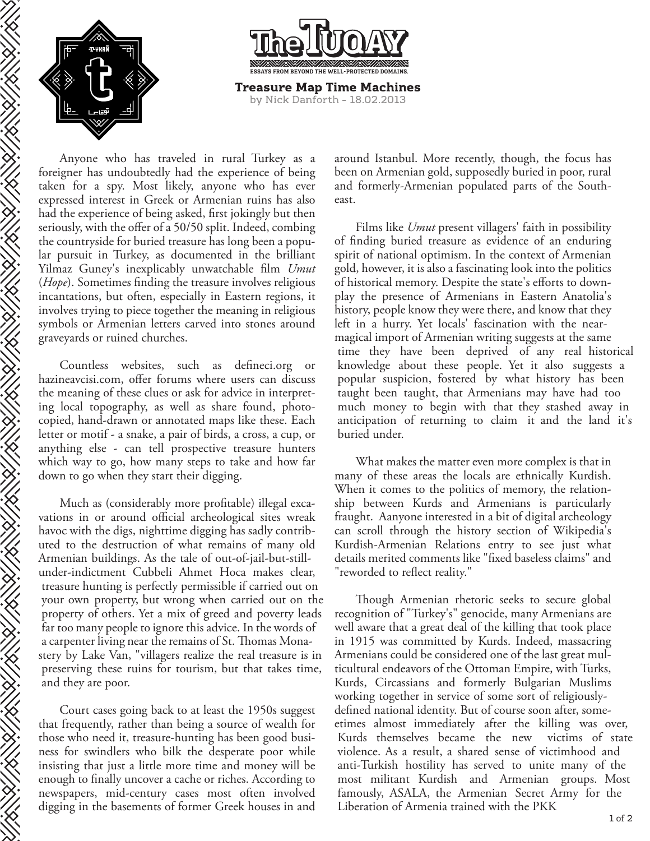

THE STRIKE STRIKE STRIKE STRIKE STRIKE STRIKE STRIKE STRIKE STRIKE STRIKE STRIKE STRIKE STRIKE STRIKE STRIKE S



Anyone who has traveled in rural Turkey as a foreigner has undoubtedly had the experience of being taken for a spy. Most likely, anyone who has ever expressed interest in Greek or Armenian ruins has also had the experience of being asked, first jokingly but then seriously, with the offer of a 50/50 split. Indeed, combing the countryside for buried treasure has long been a popular pursuit in Turkey, as documented in the brilliant Yilmaz Guney's inexplicably unwatchable film *Umut* (*Hope*). Sometimes finding the treasure involves religious incantations, but often, especially in Eastern regions, it involves trying to piece together the meaning in religious symbols or Armenian letters carved into stones around graveyards or ruined churches.

Countless websites, such as defineci.org or hazineavcisi.com, offer forums where users can discuss the meaning of these clues or ask for advice in interpreting local topography, as well as share found, photocopied, hand-drawn or annotated maps like these. Each letter or motif - a snake, a pair of birds, a cross, a cup, or anything else - can tell prospective treasure hunters which way to go, how many steps to take and how far down to go when they start their digging.

Much as (considerably more profitable) illegal excavations in or around official archeological sites wreak havoc with the digs, nighttime digging has sadly contributed to the destruction of what remains of many old Armenian buildings. As the tale of out-of-jail-but-stillunder-indictment Cubbeli Ahmet Hoca makes clear, treasure hunting is perfectly permissible if carried out on your own property, but wrong when carried out on the property of others. Yet a mix of greed and poverty leads far too many people to ignore this advice. In the words of a carpenter living near the remains of St. Thomas Monastery by Lake Van, "villagers realize the real treasure is in preserving these ruins for tourism, but that takes time, and they are poor.

Court cases going back to at least the 1950s suggest that frequently, rather than being a source of wealth for those who need it, treasure-hunting has been good business for swindlers who bilk the desperate poor while insisting that just a little more time and money will be enough to finally uncover a cache or riches. According to newspapers, mid-century cases most often involved digging in the basements of former Greek houses in and around Istanbul. More recently, though, the focus has been on Armenian gold, supposedly buried in poor, rural and formerly-Armenian populated parts of the Southeast.

Films like *Umut* present villagers' faith in possibility of finding buried treasure as evidence of an enduring spirit of national optimism. In the context of Armenian gold, however, it is also a fascinating look into the politics of historical memory. Despite the state's efforts to downplay the presence of Armenians in Eastern Anatolia's history, people know they were there, and know that they left in a hurry. Yet locals' fascination with the nearmagical import of Armenian writing suggests at the same time they have been deprived of any real historical knowledge about these people. Yet it also suggests a popular suspicion, fostered by what history has been taught been taught, that Armenians may have had too much money to begin with that they stashed away in anticipation of returning to claim it and the land it's buried under.

What makes the matter even more complex is that in many of these areas the locals are ethnically Kurdish. When it comes to the politics of memory, the relationship between Kurds and Armenians is particularly fraught. Aanyone interested in a bit of digital archeology can scroll through the history section of Wikipedia's Kurdish-Armenian Relations entry to see just what details merited comments like "fixed baseless claims" and "reworded to reflect reality."

Though Armenian rhetoric seeks to secure global recognition of "Turkey's" genocide, many Armenians are well aware that a great deal of the killing that took place in 1915 was committed by Kurds. Indeed, massacring Armenians could be considered one of the last great multicultural endeavors of the Ottoman Empire, with Turks, Kurds, Circassians and formerly Bulgarian Muslims working together in service of some sort of religiouslydefined national identity. But of course soon after, someetimes almost immediately after the killing was over, Kurds themselves became the new victims of state violence. As a result, a shared sense of victimhood and anti-Turkish hostility has served to unite many of the most militant Kurdish and Armenian groups. Most famously, ASALA, the Armenian Secret Army for the Liberation of Armenia trained with the PKK